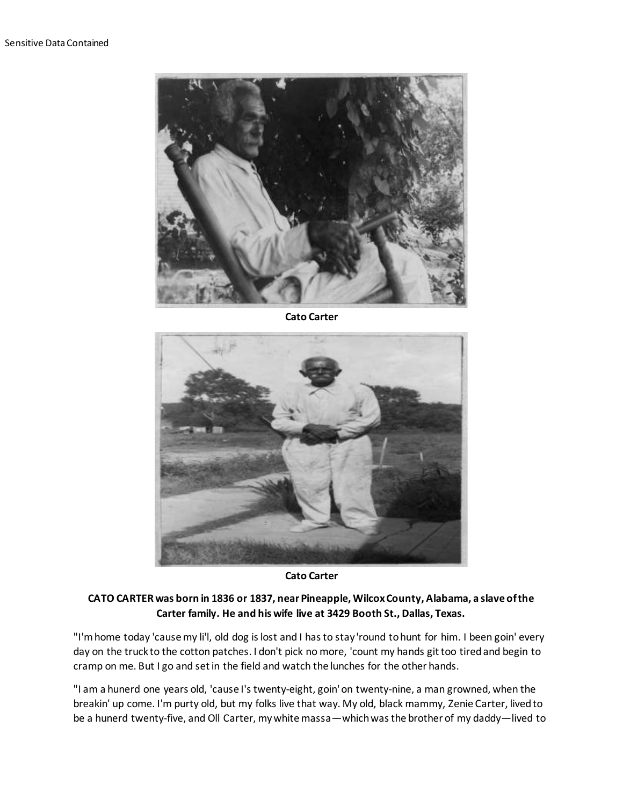

**Cato Carter**



**Cato Carter**

## **CATO CARTER was born in 1836 or 1837, near Pineapple, Wilcox County, Alabama, a slave of the Carter family. He and his wife live at 3429 Booth St., Dallas, Texas.**

"I'm home today 'cause my li'l, old dog is lost and I has to stay 'round to hunt for him. I been goin' every day on the truck to the cotton patches. I don't pick no more, 'count my hands git too tired and begin to cramp on me. But I go and set in the field and watch the lunches for the other hands.

"I am a hunerd one years old, 'cause I's twenty-eight, goin' on twenty-nine, a man growned, when the breakin' up come. I'm purty old, but my folks live that way. My old, black mammy, Zenie Carter, lived to be a hunerd twenty-five, and Oll Carter, my white massa—which was the brother of my daddy—lived to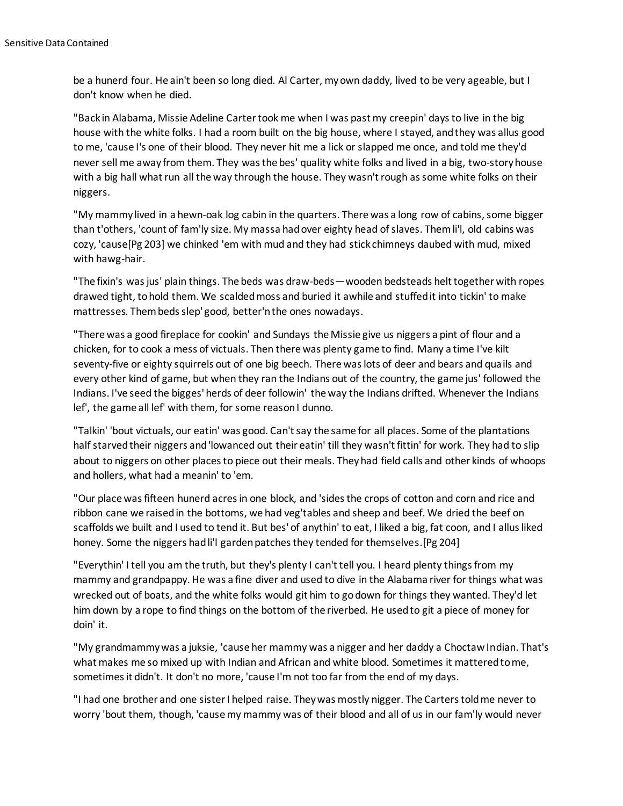be a hunerd four. He ain't been so long died. Al Carter, my own daddy, lived to be very ageable, but I don't know when he died.

"Back in Alabama, Missie Adeline Carter took me when I was past my creepin' days to live in the big house with the white folks. I had a room built on the big house, where I stayed, and they was allus good to me, 'cause I's one of their blood. They never hit me a lick or slapped me once, and told me they'd never sell me away from them. They was the bes' quality white folks and lived in a big, two-story house with a big hall what run all the way through the house. They wasn't rough as some white folks on their niggers.

"My mammy lived in a hewn-oak log cabin in the quarters. There was a long row of cabins, some bigger than t'others, 'count of fam'ly size. My massa had over eighty head of slaves. Them li'l, old cabins was cozy, 'cause[Pg 203] we chinked 'em with mud and they had stick chimneys daubed with mud, mixed with hawg-hair.

"The fixin's was jus' plain things. The beds was draw-beds—wooden bedsteads helt together with ropes drawed tight, to hold them. We scalded moss and buried it awhile and stuffed it into tickin' to make mattresses. Them beds slep' good, better'n the ones nowadays.

"There was a good fireplace for cookin' and Sundays the Missie give us niggers a pint of flour and a chicken, for to cook a mess of victuals. Then there was plenty game to find. Many a time I've kilt seventy-five or eighty squirrels out of one big beech. There was lots of deer and bears and quails and every other kind of game, but when they ran the Indians out of the country, the game jus' followed the Indians. I've seed the bigges' herds of deer followin' the way the Indians drifted. Whenever the Indians lef', the game all lef' with them, for some reason I dunno.

"Talkin' 'bout victuals, our eatin' was good. Can't say the same for all places. Some of the plantations half starved their niggers and 'lowanced out their eatin' till they wasn't fittin' for work. They had to slip about to niggers on other places to piece out their meals. They had field calls and other kinds of whoops and hollers, what had a meanin' to 'em.

"Our place was fifteen hunerd acres in one block, and 'sides the crops of cotton and corn and rice and ribbon cane we raised in the bottoms, we had veg'tables and sheep and beef. We dried the beef on scaffolds we built and I used to tend it. But bes' of anythin' to eat, I liked a big, fat coon, and I allus liked honey. Some the niggers had li'l garden patches they tended for themselves.[Pg 204]

"Everythin' I tell you am the truth, but they's plenty I can't tell you. I heard plenty things from my mammy and grandpappy. He was a fine diver and used to dive in the Alabama river for things what was wrecked out of boats, and the white folks would git him to go down for things they wanted. They'd let him down by a rope to find things on the bottom of the riverbed. He used to git a piece of money for doin' it.

"My grandmammy was a juksie, 'cause her mammy was a nigger and her daddy a Choctaw Indian. That's what makes me so mixed up with Indian and African and white blood. Sometimes it mattered to me, sometimes it didn't. It don't no more, 'cause I'm not too far from the end of my days.

"I had one brother and one sister I helped raise. They was mostly nigger. The Carters told me never to worry 'bout them, though, 'cause my mammy was of their blood and all of us in our fam'ly would never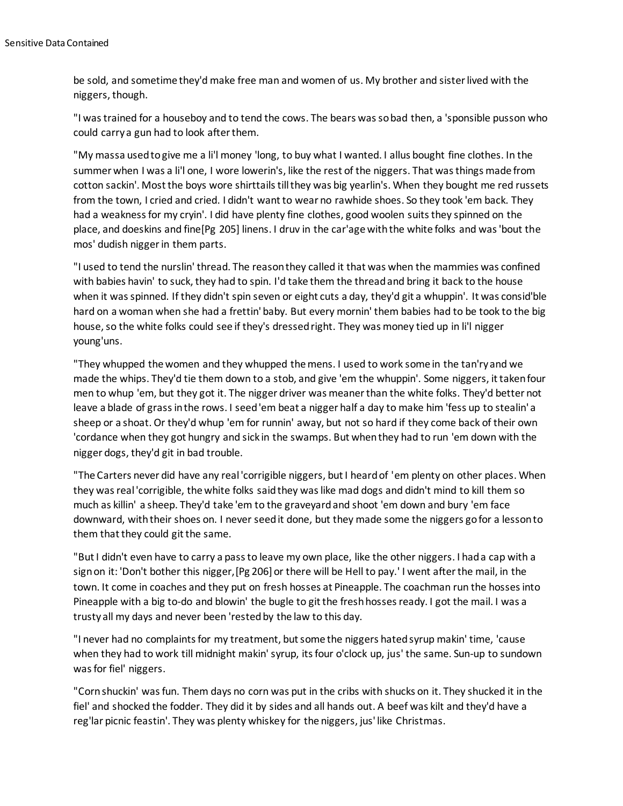be sold, and sometime they'd make free man and women of us. My brother and sister lived with the niggers, though.

"I was trained for a houseboy and to tend the cows. The bears was so bad then, a 'sponsible pusson who could carry a gun had to look after them.

"My massa used to give me a li'l money 'long, to buy what I wanted. I allus bought fine clothes. In the summer when I was a li'l one, I wore lowerin's, like the rest of the niggers. That was things made from cotton sackin'. Most the boys wore shirttails till they was big yearlin's. When they bought me red russets from the town, I cried and cried. I didn't want to wear no rawhide shoes. So they took 'em back. They had a weakness for my cryin'. I did have plenty fine clothes, good woolen suits they spinned on the place, and doeskins and fine[Pg 205] linens. I druv in the car'age with the white folks and was 'bout the mos' dudish nigger in them parts.

"I used to tend the nurslin' thread. The reason they called it that was when the mammies was confined with babies havin' to suck, they had to spin. I'd take them the thread and bring it back to the house when it was spinned. If they didn't spin seven or eight cuts a day, they'd git a whuppin'. It was consid'ble hard on a woman when she had a frettin' baby. But every mornin' them babies had to be took to the big house, so the white folks could see if they's dressed right. They was money tied up in li'l nigger young'uns.

"They whupped the women and they whupped the mens. I used to work some in the tan'ry and we made the whips. They'd tie them down to a stob, and give 'em the whuppin'. Some niggers, it taken four men to whup 'em, but they got it. The nigger driver was meaner than the white folks. They'd better not leave a blade of grass in the rows. I seed 'em beat a nigger half a day to make him 'fess up to stealin' a sheep or a shoat. Or they'd whup 'em for runnin' away, but not so hard if they come back of their own 'cordance when they got hungry and sick in the swamps. But when they had to run 'em down with the nigger dogs, they'd git in bad trouble.

"The Carters never did have any real 'corrigible niggers, but I heard of 'em plenty on other places. When they was real 'corrigible, the white folks said they was like mad dogs and didn't mind to kill them so much as killin' a sheep. They'd take 'em to the graveyard and shoot 'em down and bury 'em face downward, with their shoes on. I never seed it done, but they made some the niggers go for a lesson to them that they could git the same.

"But I didn't even have to carry a pass to leave my own place, like the other niggers. I had a cap with a sign on it: 'Don't bother this nigger, [Pg 206] or there will be Hell to pay.' I went after the mail, in the town. It come in coaches and they put on fresh hosses at Pineapple. The coachman run the hosses into Pineapple with a big to-do and blowin' the bugle to git the fresh hosses ready. I got the mail. I was a trusty all my days and never been 'rested by the law to this day.

"I never had no complaints for my treatment, but some the niggers hated syrup makin' time, 'cause when they had to work till midnight makin' syrup, its four o'clock up, jus' the same. Sun-up to sundown was for fiel' niggers.

"Corn shuckin' was fun. Them days no corn was put in the cribs with shucks on it. They shucked it in the fiel' and shocked the fodder. They did it by sides and all hands out. A beef was kilt and they'd have a reg'lar picnic feastin'. They was plenty whiskey for the niggers, jus' like Christmas.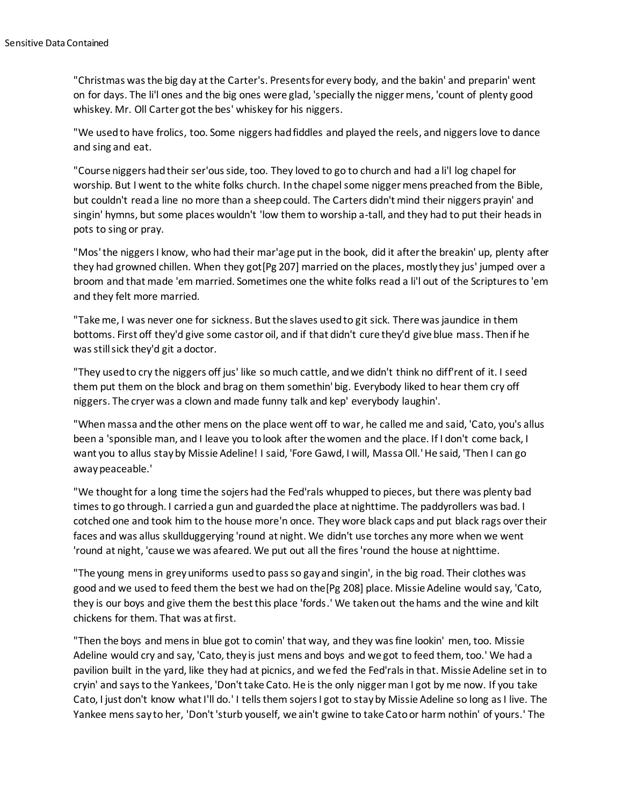"Christmas was the big day at the Carter's. Presents for every body, and the bakin' and preparin' went on for days. The li'l ones and the big ones were glad, 'specially the nigger mens, 'count of plenty good whiskey. Mr. Oll Carter got the bes' whiskey for his niggers.

"We used to have frolics, too. Some niggers had fiddles and played the reels, and niggers love to dance and sing and eat.

"Course niggers had their ser'ous side, too. They loved to go to church and had a li'l log chapel for worship. But I went to the white folks church. In the chapel some nigger mens preached from the Bible, but couldn't read a line no more than a sheep could. The Carters didn't mind their niggers prayin' and singin' hymns, but some places wouldn't 'low them to worship a-tall, and they had to put their heads in pots to sing or pray.

"Mos' the niggers I know, who had their mar'age put in the book, did it after the breakin' up, plenty after they had growned chillen. When they got[Pg 207] married on the places, mostly they jus' jumped over a broom and that made 'em married. Sometimes one the white folks read a li'l out of the Scriptures to 'em and they felt more married.

"Take me, I was never one for sickness. But the slaves used to git sick. There was jaundice in them bottoms. First off they'd give some castor oil, and if that didn't cure they'd give blue mass. Then if he was still sick they'd git a doctor.

"They used to cry the niggers off jus' like so much cattle, and we didn't think no diff'rent of it. I seed them put them on the block and brag on them somethin' big. Everybody liked to hear them cry off niggers. The cryer was a clown and made funny talk and kep' everybody laughin'.

"When massa and the other mens on the place went off to war, he called me and said, 'Cato, you's allus been a 'sponsible man, and I leave you to look after the women and the place. If I don't come back, I want you to allus stay by Missie Adeline! I said, 'Fore Gawd, I will, Massa Oll.' He said, 'Then I can go awaypeaceable.'

"We thought for a long time the sojers had the Fed'rals whupped to pieces, but there was plenty bad times to go through. I carried a gun and guarded the place at nighttime. The paddyrollers was bad. I cotched one and took him to the house more'n once. They wore black caps and put black rags over their faces and was allus skullduggerying 'round at night. We didn't use torches any more when we went 'round at night, 'cause we was afeared. We put out all the fires 'round the house at nighttime.

"The young mens in grey uniforms used to pass so gay and singin', in the big road. Their clothes was good and we used to feed them the best we had on the[Pg 208] place. Missie Adeline would say, 'Cato, they is our boys and give them the best this place 'fords.' We taken out the hams and the wine and kilt chickens for them. That was at first.

"Then the boys and mens in blue got to comin' that way, and they was fine lookin' men, too. Missie Adeline would cry and say, 'Cato, they is just mens and boys and we got to feed them, too.' We had a pavilion built in the yard, like they had at picnics, and we fed the Fed'rals in that. Missie Adeline set in to cryin' and says to the Yankees, 'Don't take Cato. He is the only nigger man I got by me now. If you take Cato, I just don't know what I'll do.' I tells them sojers I got to stay by Missie Adeline so long as I live. The Yankee mens say to her, 'Don't 'sturb youself, we ain't gwine to take Cato or harm nothin' of yours.' The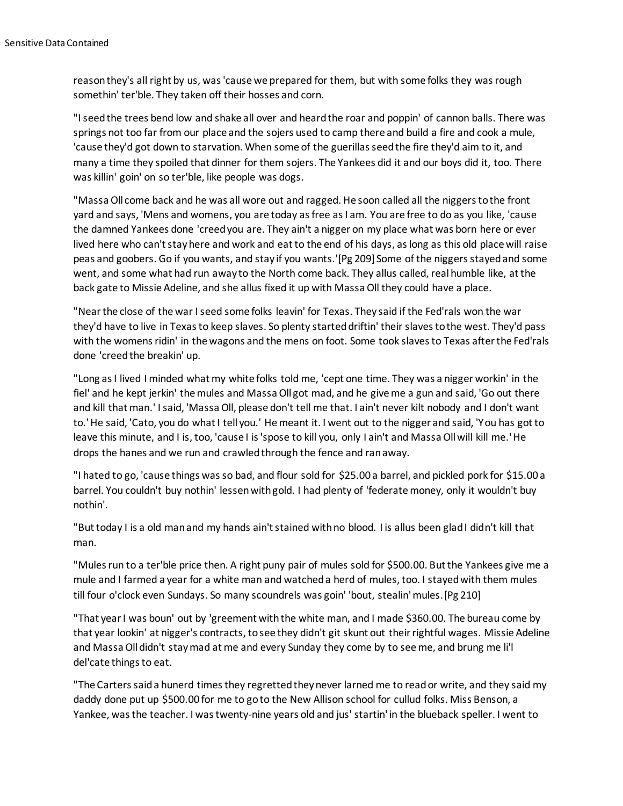reason they's all right by us, was 'cause we prepared for them, but with some folks they was rough somethin' ter'ble. They taken off their hosses and corn.

"I seed the trees bend low and shake all over and heard the roar and poppin' of cannon balls. There was springs not too far from our place and the sojers used to camp there and build a fire and cook a mule, 'cause they'd got down to starvation. When some of the guerillas seed the fire they'd aim to it, and many a time they spoiled that dinner for them sojers. The Yankees did it and our boys did it, too. There was killin' goin' on so ter'ble, like people was dogs.

"Massa Oll come back and he was all wore out and ragged. He soon called all the niggers to the front yard and says, 'Mens and womens, you are today as free as I am. You are free to do as you like, 'cause the damned Yankees done 'creed you are. They ain't a nigger on my place what was born here or ever lived here who can't stay here and work and eat to the end of his days, as long as this old place will raise peas and goobers. Go if you wants, and stay if you wants.'[Pg 209] Some of the niggers stayed and some went, and some what had run away to the North come back. They allus called, real humble like, at the back gate to Missie Adeline, and she allus fixed it up with Massa Oll they could have a place.

"Near the close of the war I seed some folks leavin' for Texas. They said if the Fed'rals won the war they'd have to live in Texas to keep slaves. So plenty started driftin' their slaves to the west. They'd pass with the womens ridin' in the wagons and the mens on foot. Some took slaves to Texas after the Fed'rals done 'creed the breakin' up.

"Long as I lived I minded what my white folks told me, 'cept one time. They was a nigger workin' in the fiel' and he kept jerkin' the mules and Massa Oll got mad, and he give me a gun and said, 'Go out there and kill that man.' I said, 'Massa Oll, please don't tell me that. I ain't never kilt nobody and I don't want to.' He said, 'Cato, you do what I tell you.' He meant it. I went out to the nigger and said, 'You has got to leave this minute, and I is, too, 'cause I is 'spose to kill you, only I ain't and Massa Oll will kill me.' He drops the hanes and we run and crawled through the fence and ran away.

"I hated to go, 'cause things was so bad, and flour sold for \$25.00 a barrel, and pickled pork for \$15.00 a barrel. You couldn't buy nothin' lessen with gold. I had plenty of 'federate money, only it wouldn't buy nothin'.

"But today I is a old man and my hands ain't stained with no blood. I is allus been glad I didn't kill that man.

"Mules run to a ter'ble price then. A right puny pair of mules sold for \$500.00. But the Yankees give me a mule and I farmed a year for a white man and watched a herd of mules, too. I stayed with them mules till four o'clock even Sundays. So many scoundrels was goin' 'bout, stealin' mules.[Pg 210]

"That year I was boun' out by 'greement with the white man, and I made \$360.00. The bureau come by that year lookin' at nigger's contracts, to see they didn't git skunt out their rightful wages. Missie Adeline and Massa Oll didn't stay mad at me and every Sunday they come by to see me, and brung me li'l del'cate things to eat.

"The Carters said a hunerd times they regretted they never larned me to read or write, and they said my daddy done put up \$500.00 for me to go to the New Allison school for cullud folks. Miss Benson, a Yankee, was the teacher. I was twenty-nine years old and jus' startin' in the blueback speller. I went to